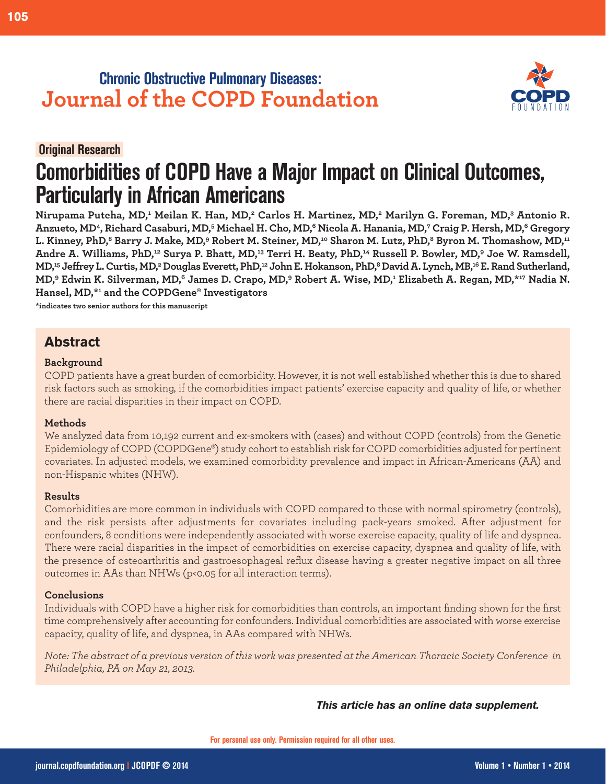# **Chronic Obstructive Pulmonary Diseases: Journal of the COPD Foundation**

### **Original Research.**

# **Comorbidities of COPD Have a Major Impact on Clinical Outcomes, Particularly in African Americans**

**Nirupama Putcha, MD,1 Meilan K. Han, MD,2 Carlos H. Martinez, MD,2 Marilyn G. Foreman, MD,3 Antonio R. Anzueto, MD4, Richard Casaburi, MD,5 Michael H. Cho, MD,6 Nicola A. Hanania, MD,7 Craig P. Hersh, MD,6 Gregory** L. Kinney, PhD,<sup>8</sup> Barry J. Make, MD,<sup>9</sup> Robert M. Steiner, MD,<sup>10</sup> Sharon M. Lutz, PhD,<sup>8</sup> Byron M. Thomashow, MD,<sup>11</sup> **Andre A. Williams, PhD,12 Surya P. Bhatt, MD,13 Terri H. Beaty, PhD,14 Russell P. Bowler, MD,9 Joe W. Ramsdell, MD,15 Jeffrey L. Curtis, MD,2 Douglas Everett, PhD,12 John E. Hokanson, PhD,8 David A. Lynch, MB,16 E. Rand Sutherland, MD,9 Edwin K. Silverman, MD,6 James D. Crapo, MD,9 Robert A. Wise, MD,1 Elizabeth A. Regan, MD,\*17 Nadia N. Hansel, MD,\*1 and the COPDGene® Investigators**

**\*indicates two senior authors for this manuscript**

### **Abstract**

### **Background**

COPD patients have a great burden of comorbidity. However, it is not well established whether this is due to shared risk factors such as smoking, if the comorbidities impact patients' exercise capacity and quality of life, or whether there are racial disparities in their impact on COPD.

### **Methods**

We analyzed data from 10,192 current and ex-smokers with (cases) and without COPD (controls) from the Genetic Epidemiology of COPD (COPDGene®) study cohort to establish risk for COPD comorbidities adjusted for pertinent covariates. In adjusted models, we examined comorbidity prevalence and impact in African-Americans (AA) and non-Hispanic whites (NHW).

### **Results**

Comorbidities are more common in individuals with COPD compared to those with normal spirometry (controls), and the risk persists after adjustments for covariates including pack-years smoked. After adjustment for confounders, 8 conditions were independently associated with worse exercise capacity, quality of life and dyspnea. There were racial disparities in the impact of comorbidities on exercise capacity, dyspnea and quality of life, with the presence of osteoarthritis and gastroesophageal reflux disease having a greater negative impact on all three outcomes in AAs than NHWs (p<0.05 for all interaction terms).

### **Conclusions**

Individuals with COPD have a higher risk for comorbidities than controls, an important finding shown for the first time comprehensively after accounting for confounders. Individual comorbidities are associated with worse exercise capacity, quality of life, and dyspnea, in AAs compared with NHWs.

*Note: The abstract of a previous version of this work was presented at the American Thoracic Society Conference in Philadelphia, PA on May 21, 2013.* 

*This article has an online data supplement.*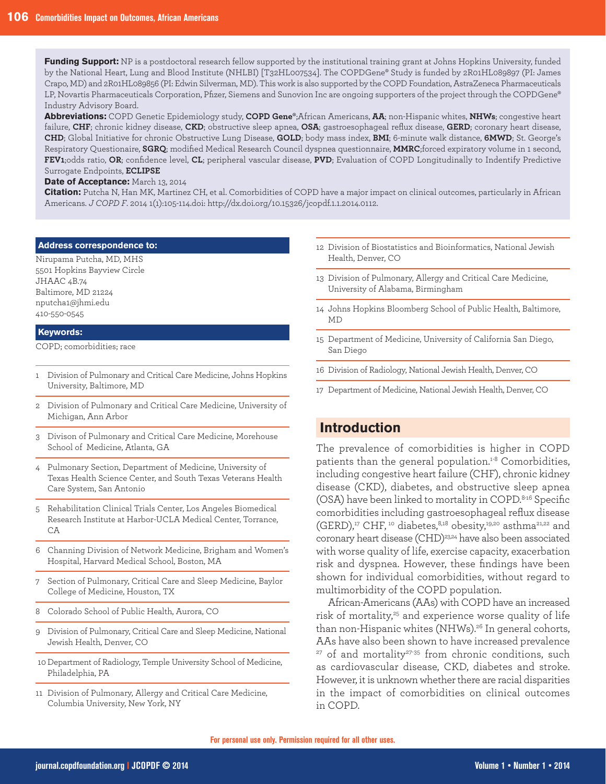**Funding Support:** NP is a postdoctoral research fellow supported by the institutional training grant at Johns Hopkins University, funded by the National Heart, Lung and Blood Institute (NHLBI) [T32HL007534]. The COPDGene® Study is funded by 2R01HL089897 (PI: James Crapo, MD) and 2R01HL089856 (PI: Edwin Silverman, MD). This work is also supported by the COPD Foundation, AstraZeneca Pharmaceuticals LP, Novartis Pharmaceuticals Corporation, Pfizer, Siemens and Sunovion Inc are ongoing supporters of the project through the COPDGene® Industry Advisory Board.

**Abbreviations:** COPD Genetic Epidemiology study, **COPD Gene®**;African Americans, **AA**; non-Hispanic whites, **NHWs**; congestive heart failure, **CHF**; chronic kidney disease, **CKD**; obstructive sleep apnea, **OSA**; gastroesophageal reflux disease, **GERD**; coronary heart disease, **CHD**; Global Initiative for chronic Obstructive Lung Disease, **GOLD**; body mass index, **BMI**; 6-minute walk distance, **6MWD**; St. George's Respiratory Questionaire, **SGRQ**; modified Medical Research Council dyspnea questionnaire, **MMRC**;forced expiratory volume in 1 second, **FEV1**;odds ratio, **OR**; confidence level, **CL**; peripheral vascular disease, **PVD**; Evaluation of COPD Longitudinally to Indentify Predictive Surrogate Endpoints, **ECLIPSE**

**Date of Acceptance:** March 13, 2014

**Citation:** Putcha N, Han MK, Martinez CH, et al. Comorbidities of COPD have a major impact on clinical outcomes, particularly in African Americans. *J COPD F*. 2014 1(1):105-114.doi: http://dx.doi.org/10.15326/jcopdf.1.1.2014.0112.

### **Address correspondence to:**

Nirupama Putcha, MD, MHS 5501 Hopkins Bayview Circle JHAAC 4B.74 Baltimore, MD 21224 nputcha1@jhmi.edu 410-550-0545

#### **Keywords:**

COPD; comorbidities; race

- 1 Division of Pulmonary and Critical Care Medicine, Johns Hopkins University, Baltimore, MD
- 2 Division of Pulmonary and Critical Care Medicine, University of Michigan, Ann Arbor
- 3 Divison of Pulmonary and Critical Care Medicine, Morehouse School of Medicine, Atlanta, GA
- 4 Pulmonary Section, Department of Medicine, University of Texas Health Science Center, and South Texas Veterans Health Care System, San Antonio
- 5 Rehabilitation Clinical Trials Center, Los Angeles Biomedical Research Institute at Harbor-UCLA Medical Center, Torrance, CA
- 6 Channing Division of Network Medicine, Brigham and Women's Hospital, Harvard Medical School, Boston, MA
- 7 Section of Pulmonary, Critical Care and Sleep Medicine, Baylor College of Medicine, Houston, TX
- 8 Colorado School of Public Health, Aurora, CO
- 9 Division of Pulmonary, Critical Care and Sleep Medicine, National Jewish Health, Denver, CO
- 10 Department of Radiology, Temple University School of Medicine, Philadelphia, PA
- 11 Division of Pulmonary, Allergy and Critical Care Medicine, Columbia University, New York, NY
- 12 Division of Biostatistics and Bioinformatics, National Jewish Health, Denver, CO
- 13 Division of Pulmonary, Allergy and Critical Care Medicine, University of Alabama, Birmingham
- 14 Johns Hopkins Bloomberg School of Public Health, Baltimore, MD
- 15 Department of Medicine, University of California San Diego, San Diego
- 16 Division of Radiology, National Jewish Health, Denver, CO
- 17 Department of Medicine, National Jewish Health, Denver, CO

### **Introduction**

The prevalence of comorbidities is higher in COPD patients than the general population.<sup>1-8</sup> Comorbidities, including congestive heart failure (CHF), chronic kidney disease (CKD), diabetes, and obstructive sleep apnea (OSA) have been linked to mortality in COPD.8-16 Specific comorbidities including gastroesophageal reflux disease  $(GERD),<sup>17</sup> CHF, <sup>10</sup> diabetes, <sup>8,18</sup> obesity, <sup>19,20</sup> asthma<sup>21,22</sup> and$ coronary heart disease (CHD)<sup>23,24</sup> have also been associated with worse quality of life, exercise capacity, exacerbation risk and dyspnea. However, these findings have been shown for individual comorbidities, without regard to multimorbidity of the COPD population.

African-Americans (AAs) with COPD have an increased risk of mortality,<sup>25</sup> and experience worse quality of life than non-Hispanic whites (NHWs).26 In general cohorts, AAs have also been shown to have increased prevalence <sup>27</sup> of and mortality<sup>27-35</sup> from chronic conditions, such as cardiovascular disease, CKD, diabetes and stroke. However, it is unknown whether there are racial disparities in the impact of comorbidities on clinical outcomes in COPD.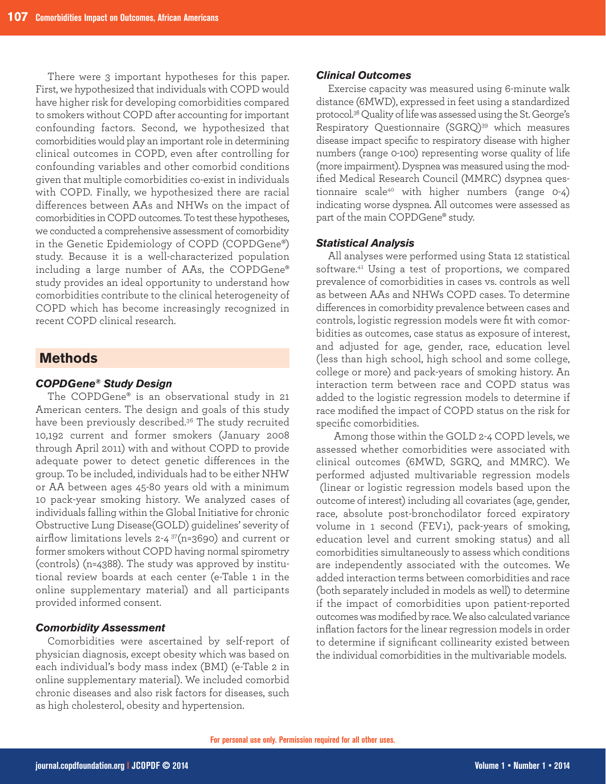There were 3 important hypotheses for this paper. First, we hypothesized that individuals with COPD would have higher risk for developing comorbidities compared to smokers without COPD after accounting for important confounding factors. Second, we hypothesized that comorbidities would play an important role in determining clinical outcomes in COPD, even after controlling for confounding variables and other comorbid conditions given that multiple comorbidities co-exist in individuals with COPD. Finally, we hypothesized there are racial differences between AAs and NHWs on the impact of comorbidities in COPD outcomes. To test these hypotheses, we conducted a comprehensive assessment of comorbidity in the Genetic Epidemiology of COPD (COPDGene®) study. Because it is a well-characterized population including a large number of AAs, the COPDGene® study provides an ideal opportunity to understand how comorbidities contribute to the clinical heterogeneity of COPD which has become increasingly recognized in recent COPD clinical research.

### **Methods**

### *COPDGene® Study Design*

The COPDGene® is an observational study in 21 American centers. The design and goals of this study have been previously described.36 The study recruited 10,192 current and former smokers (January 2008 through April 2011) with and without COPD to provide adequate power to detect genetic differences in the group. To be included, individuals had to be either NHW or AA between ages 45-80 years old with a minimum 10 pack-year smoking history. We analyzed cases of individuals falling within the Global Initiative for chronic Obstructive Lung Disease(GOLD) guidelines' severity of airflow limitations levels 2-4 37(n=3690) and current or former smokers without COPD having normal spirometry (controls) (n=4388). The study was approved by institutional review boards at each center (e-Table 1 in the online supplementary material) and all participants provided informed consent.

### *Comorbidity Assessment*

Comorbidities were ascertained by self-report of physician diagnosis, except obesity which was based on each individual's body mass index (BMI) (e-Table 2 in online supplementary material). We included comorbid chronic diseases and also risk factors for diseases, such as high cholesterol, obesity and hypertension.

### *Clinical Outcomes*

Exercise capacity was measured using 6-minute walk distance (6MWD), expressed in feet using a standardized protocol.38Quality of life was assessed using the St. George's Respiratory Questionnaire (SGRQ)<sup>39</sup> which measures disease impact specific to respiratory disease with higher numbers (range 0-100) representing worse quality of life (more impairment). Dyspnea was measured using the modified Medical Research Council (MMRC) dsypnea questionnaire scale<sup>40</sup> with higher numbers (range 0-4) indicating worse dyspnea. All outcomes were assessed as part of the main COPDGene® study.

#### *Statistical Analysis*

All analyses were performed using Stata 12 statistical software.41 Using a test of proportions, we compared prevalence of comorbidities in cases vs. controls as well as between AAs and NHWs COPD cases. To determine differences in comorbidity prevalence between cases and controls, logistic regression models were fit with comorbidities as outcomes, case status as exposure of interest, and adjusted for age, gender, race, education level (less than high school, high school and some college, college or more) and pack-years of smoking history. An interaction term between race and COPD status was added to the logistic regression models to determine if race modified the impact of COPD status on the risk for specific comorbidities.

Among those within the GOLD 2-4 COPD levels, we assessed whether comorbidities were associated with clinical outcomes (6MWD, SGRQ, and MMRC). We performed adjusted multivariable regression models (linear or logistic regression models based upon the outcome of interest) including all covariates (age, gender, race, absolute post-bronchodilator forced expiratory volume in 1 second (FEV1), pack-years of smoking, education level and current smoking status) and all comorbidities simultaneously to assess which conditions are independently associated with the outcomes. We added interaction terms between comorbidities and race (both separately included in models as well) to determine if the impact of comorbidities upon patient-reported outcomes was modified by race. We also calculated variance inflation factors for the linear regression models in order to determine if significant collinearity existed between the individual comorbidities in the multivariable models.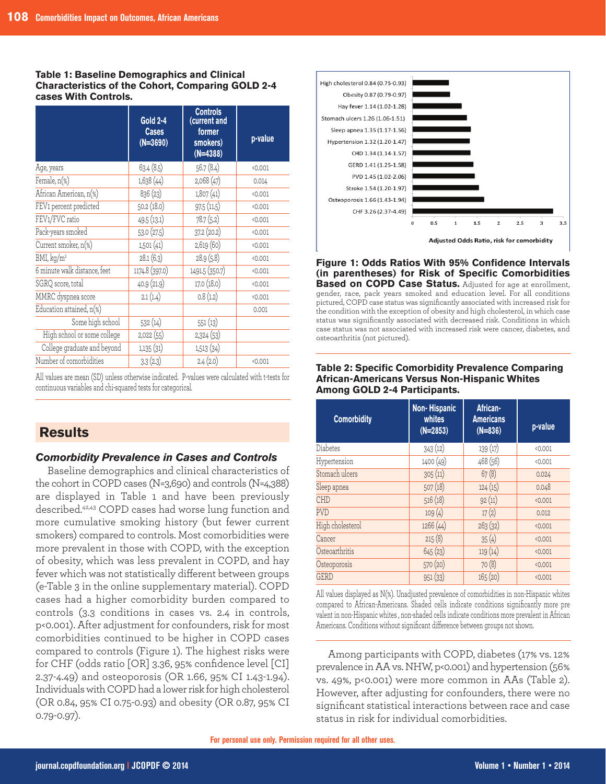### **Table 1: Baseline Demographics and Clinical Characteristics of the Cohort, Comparing GOLD 2-4 cases With Controls.**

|                              | <b>Gold 2-4</b><br><b>Cases</b><br>$(N=3690)$ | <b>Controls</b><br>(current and<br>former<br>smokers)<br>$(N=4388)$ | p-value |
|------------------------------|-----------------------------------------------|---------------------------------------------------------------------|---------|
| Age, years                   | 63.4(8.5)                                     | 56.7(8.4)                                                           | < 0.001 |
| Female, n(%)                 | 1,638(44)                                     | 2,068 (47)                                                          | 0.014   |
| African American, n(%)       | 836 (23)                                      | 1,807(41)                                                           | < 0.001 |
| FEV1 percent predicted       | 50.2 (18.0)                                   | 97.5(11.5)                                                          | < 0.001 |
| FEV1/FVC ratio               | 49.5 (13.1)                                   | 78.7 (5.2)                                                          | < 0.001 |
| Pack-years smoked            | 53.0 (27.5)                                   | 37.2 (20.2)                                                         | < 0.001 |
| Current smoker, n(%)         | 1,501(41)                                     | 2,619 (60)                                                          | < 0.001 |
| BMI, kq/m <sup>2</sup>       | 28.1(6.3)                                     | 28.9 (5.8)                                                          | < 0.001 |
| 6 minute walk distance, feet | 1174.8 (397.0)                                | 1491.5 (350.7)                                                      | < 0.001 |
| SGRQ score, total            | 40.9 (21.9)                                   | 17.0 (18.0)                                                         | < 0.001 |
| MMRC dyspnea score           | 2.1(1.4)                                      | 0.8(1.2)                                                            | < 0.001 |
| Education attained, n(%)     |                                               |                                                                     | 0.001   |
| Some high school             | 532 (14)                                      | 551(13)                                                             |         |
| High school or some college  | 2,022 (55)                                    | 2,324(53)                                                           |         |
| College graduate and beyond  | 1,135(31)                                     | 1,513(34)                                                           |         |
| Number of comorbidities      | 3.3(2.3)                                      | 2.4(2.0)                                                            | 0.001   |

All values are mean (SD) unless otherwise indicated. P-values were calculated with t-tests for continuous variables and chi-squared tests for categorical.

## **Results**

### *Comorbidity Prevalence in Cases and Controls*

Baseline demographics and clinical characteristics of the cohort in COPD cases (N=3,690) and controls (N=4,388) are displayed in Table 1 and have been previously described.42,43 COPD cases had worse lung function and more cumulative smoking history (but fewer current smokers) compared to controls. Most comorbidities were more prevalent in those with COPD, with the exception of obesity, which was less prevalent in COPD, and hay fever which was not statistically different between groups (e-Table 3 in the online supplementary material). COPD cases had a higher comorbidity burden compared to controls (3.3 conditions in cases vs. 2.4 in controls, p<0.001). After adjustment for confounders, risk for most comorbidities continued to be higher in COPD cases compared to controls (Figure 1). The highest risks were for CHF (odds ratio [OR] 3.36, 95% confidence level [CI] 2.37-4.49) and osteoporosis (OR 1.66, 95% CI 1.43-1.94). Individuals with COPD had a lower risk for high cholesterol (OR 0.84, 95% CI 0.75-0.93) and obesity (OR 0.87, 95% CI 0.79-0.97).



**Figure 1: Odds Ratios With 95% Confidence Intervals (in parentheses) for Risk of Specific Comorbidities Based on COPD Case Status.** Adjusted for age at enrollment, gender, race, pack years smoked and education level. For all conditions pictured, COPD case status was significantly associated with increased risk for the condition with the exception of obesity and high cholesterol, in which case status was significantly associated with decreased risk. Conditions in which case status was not associated with increased risk were cancer, diabetes, and osteoarthritis (not pictured).

### **Table 2: Specific Comorbidity Prevalence Comparing African-Americans Versus Non-Hispanic Whites Among GOLD 2-4 Participants.**

| <b>Comorbidity</b> | Non-Hispanic<br>whites<br>$(N=2853)$ | African-<br><b>Americans</b><br>$(N=836)$ | p-value |
|--------------------|--------------------------------------|-------------------------------------------|---------|
| Diabetes           | 343(12)                              | 139(17)                                   | < 0.001 |
| Hypertension       | 1400 (49)                            | 468 (56)                                  | < 0.001 |
| Stomach ulcers     | 305(11)                              | 67(8)                                     | 0.024   |
| Sleep apnea        | 507(18)                              | 124(15)                                   | 0.048   |
| CHD                | 516(18)                              | 92(11)                                    | < 0.001 |
| <b>PVD</b>         | 109(4)                               | 17(2)                                     | 0.012   |
| High cholesterol   | 1266 (44)                            | 263(32)                                   | < 0.001 |
| Cancer             | 215(8)                               | 35(4)                                     | < 0.001 |
| Osteoarthritis     | 645(23)                              | 119(14)                                   | < 0.001 |
| Osteoporosis       | 570 (20)                             | 70(8)                                     | < 0.001 |
| <b>GERD</b>        | 951(33)                              | 165(20)                                   | < 0.001 |

All values displayed as N(%). Unadjusted prevalence of comorbidities in non-Hispanic whites compared to African-Americans. Shaded cells indicate conditions significantly more pre valent in non-Hispanic whites , non-shaded cells indicate conditions more prevalent in African Americans. Conditions without significant difference between groups not shown.

Among participants with COPD, diabetes (17% vs. 12% prevalence in AA vs. NHW, p<0.001) and hypertension (56% vs. 49%, p<0.001) were more common in AAs (Table 2). However, after adjusting for confounders, there were no significant statistical interactions between race and case status in risk for individual comorbidities.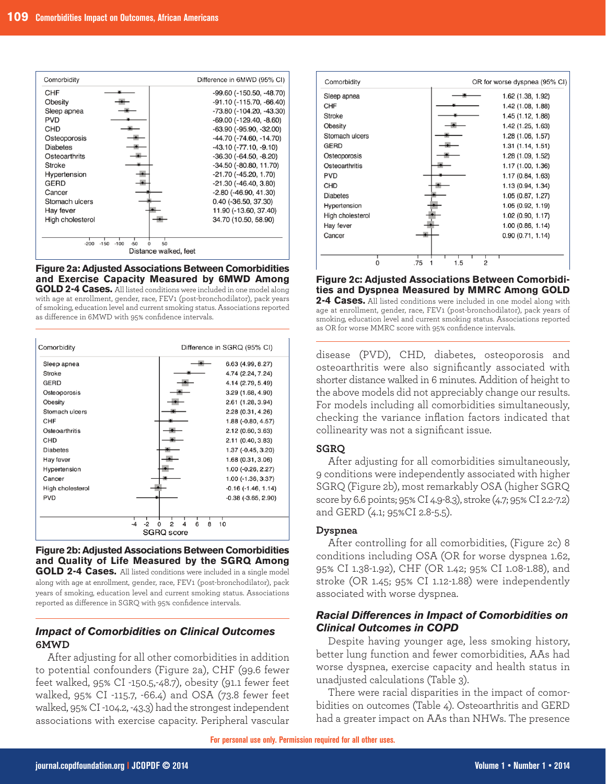

### **Figure 2a: Adjusted Associations Between Comorbidities and Exercise Capacity Measured by 6MWD Among**

**GOLD 2-4 Cases.** All listed conditions were included in one model along with age at enrollment, gender, race, FEV1 (post-bronchodilator), pack years of smoking, education level and current smoking status. Associations reported as difference in 6MWD with 95% confidence intervals.

| Comorbidity      | Difference in SGRQ (95% CI) |
|------------------|-----------------------------|
| Sleep apnea      | 6.63 (4.99, 8.27)           |
| Stroke           | 4.74 (2.24, 7.24)           |
| <b>GERD</b>      | 4.14 (2.79, 5.49)           |
| Osteoporosis     | 3.29 (1.68, 4.90)           |
| Obesity          | 2.61 (1.28, 3.94)           |
| Stomach ulcers   | 2.28 (0.31, 4.26)           |
| CHF              | 1.88 (-0.80, 4.57)          |
| Osteoarthritis   | 2.12 (0.60, 3.63)           |
| CHD              | 2.11 (0.40, 3.83)           |
| <b>Diabetes</b>  | 1.37 (-0.45, 3.20)          |
| Hay fever        | 1.68 (0.31, 3.06)           |
| Hypertension     | 1.00 (-0.26, 2.27)          |
| Cancer           | 1.00 (-1.36, 3.37)          |
| High cholesterol | $-0.16$ $(-1.46, 1.14)$     |
| <b>PVD</b>       | $-0.38$ $(-3.65, 2.90)$     |
|                  |                             |
|                  | 10<br>2<br>6<br>8<br>o      |
|                  | <b>SGRQ</b> score           |

**Figure 2b: Adjusted Associations Between Comorbidities and Quality of Life Measured by the SGRQ Among GOLD 2-4 Cases.** All listed conditions were included in a single model along with age at enrollment, gender, race, FEV1 (post-bronchodilator), pack years of smoking, education level and current smoking status. Associations reported as difference in SGRQ with 95% confidence intervals.

### *Impact of Comorbidities on Clinical Outcomes*  **6MWD**

After adjusting for all other comorbidities in addition to potential confounders (Figure 2a), CHF (99.6 fewer feet walked, 95% CI -150.5,-48.7), obesity (91.1 fewer feet walked, 95% CI -115.7, -66.4) and OSA (73.8 fewer feet walked, 95% CI -104.2, -43.3) had the strongest independent associations with exercise capacity. Peripheral vascular



### **Figure 2c: Adjusted Associations Between Comorbidities and Dyspnea Measured by MMRC Among GOLD**

**2-4 Cases.** All listed conditions were included in one model along with age at enrollment, gender, race, FEV1 (post-bronchodilator), pack years of smoking, education level and current smoking status. Associations reported as OR for worse MMRC score with 95% confidence intervals.

disease (PVD), CHD, diabetes, osteoporosis and osteoarthritis were also significantly associated with shorter distance walked in 6 minutes. Addition of height to the above models did not appreciably change our results. For models including all comorbidities simultaneously, checking the variance inflation factors indicated that collinearity was not a significant issue.

### **SGRQ**

After adjusting for all comorbidities simultaneously, 9 conditions were independently associated with higher SGRQ (Figure 2b), most remarkably OSA (higher SGRQ score by 6.6 points; 95% CI 4.9-8.3), stroke (4.7; 95% CI 2.2-7.2) and GERD (4.1; 95%CI 2.8-5.5).

### **Dyspnea**

After controlling for all comorbidities, (Figure 2c) 8 conditions including OSA (OR for worse dyspnea 1.62, 95% CI 1.38-1.92), CHF (OR 1.42; 95% CI 1.08-1.88), and stroke (OR 1.45; 95% CI 1.12-1.88) were independently associated with worse dyspnea.

### *Racial Differences in Impact of Comorbidities on Clinical Outcomes in COPD*

Despite having younger age, less smoking history, better lung function and fewer comorbidities, AAs had worse dyspnea, exercise capacity and health status in unadjusted calculations (Table 3).

There were racial disparities in the impact of comorbidities on outcomes (Table 4). Osteoarthritis and GERD had a greater impact on AAs than NHWs. The presence

**For personal use only. Permission required for all other uses.**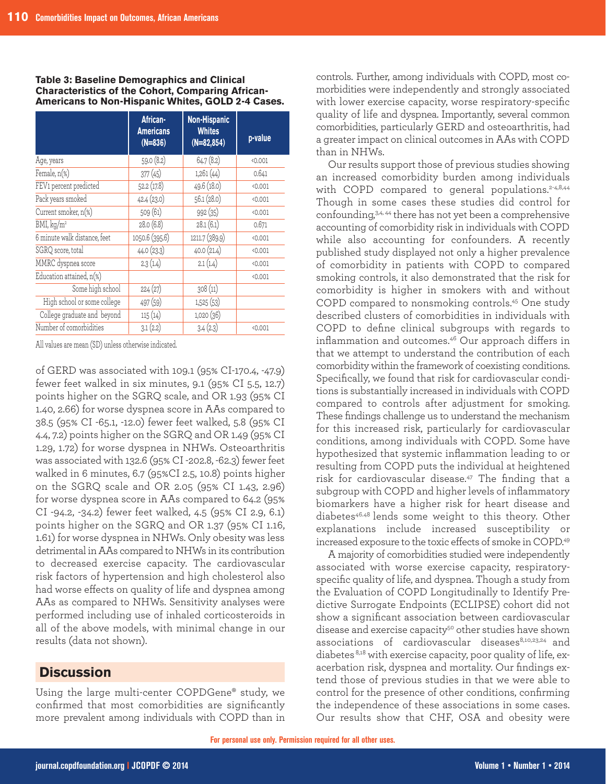#### **Table 3: Baseline Demographics and Clinical Characteristics of the Cohort, Comparing African-Americans to Non-Hispanic Whites, GOLD 2-4 Cases.**

|                              | African-<br><b>Americans</b><br>$(N=836)$ | Non-Hispanic<br><b>Whites</b><br>$(N=82, 854)$ | p-value |
|------------------------------|-------------------------------------------|------------------------------------------------|---------|
| Age, years                   | 59.0 (8.2)                                | 64.7(8.2)                                      | < 0.001 |
| Female, n(%)                 | 377(45)                                   | 1,261(44)                                      | 0.641   |
| FEV1 percent predicted       | 52.2(17.8)                                | 49.6 (18.0)                                    | 0.001   |
| Pack years smoked            | 42.4 (23.0)                               | 56.1(28.0)                                     | 0.001   |
| Current smoker, n(%)         | 509 (61)                                  | 992 (35)                                       | < 0.001 |
| BMI, kg/m <sup>2</sup>       | 28.0 (6.8)                                | 28.1(6.1)                                      | 0.671   |
| 6 minute walk distance, feet | 1050.6 (395.6)                            | 1211.7 (389.9)                                 | < 0.001 |
| SGRQ score, total            | 44.0 (23.3)                               | 40.0(21.4)                                     | < 0.001 |
| MMRC dyspnea score           | 2.3(1.4)                                  | 2.1(1.4)                                       | < 0.001 |
| Education attained, n(%)     |                                           |                                                | < 0.001 |
| Some high school             | 224(27)                                   | 308(11)                                        |         |
| High school or some college  | 497 (59)                                  | 1,525(53)                                      |         |
| College graduate and beyond  | 115(14)                                   | 1,020 (36)                                     |         |
| Number of comorbidities      | 3.1(2.2)                                  | 3.4(2.3)                                       | 0.001   |

All values are mean (SD) unless otherwise indicated.

of GERD was associated with 109.1 (95% CI-170.4, -47.9) fewer feet walked in six minutes, 9.1 (95% CI 5.5, 12.7) points higher on the SGRQ scale, and OR 1.93 (95% CI 1.40, 2.66) for worse dyspnea score in AAs compared to 38.5 (95% CI -65.1, -12.0) fewer feet walked, 5.8 (95% CI 4.4, 7.2) points higher on the SGRQ and OR 1.49 (95% CI 1.29, 1.72) for worse dyspnea in NHWs. Osteoarthritis was associated with 132.6 (95% CI -202.8, -62.3) fewer feet walked in 6 minutes, 6.7 (95%CI 2.5, 10.8) points higher on the SGRQ scale and OR 2.05 (95% CI 1.43, 2.96) for worse dyspnea score in AAs compared to 64.2 (95% CI -94.2, -34.2) fewer feet walked, 4.5 (95% CI 2.9, 6.1) points higher on the SGRQ and OR 1.37 (95% CI 1.16, 1.61) for worse dyspnea in NHWs. Only obesity was less detrimental in AAs compared to NHWs in its contribution to decreased exercise capacity. The cardiovascular risk factors of hypertension and high cholesterol also had worse effects on quality of life and dyspnea among AAs as compared to NHWs. Sensitivity analyses were performed including use of inhaled corticosteroids in all of the above models, with minimal change in our results (data not shown).

### **Discussion**

Using the large multi-center COPDGene® study, we confirmed that most comorbidities are significantly more prevalent among individuals with COPD than in

controls. Further, among individuals with COPD, most comorbidities were independently and strongly associated with lower exercise capacity, worse respiratory-specific quality of life and dyspnea. Importantly, several common comorbidities, particularly GERD and osteoarthritis, had a greater impact on clinical outcomes in AAs with COPD than in NHWs.

Our results support those of previous studies showing an increased comorbidity burden among individuals with COPD compared to general populations.<sup>2-4,8,44</sup> Though in some cases these studies did control for confounding,3,4, 44 there has not yet been a comprehensive accounting of comorbidity risk in individuals with COPD while also accounting for confounders. A recently published study displayed not only a higher prevalence of comorbidity in patients with COPD to compared smoking controls, it also demonstrated that the risk for comorbidity is higher in smokers with and without COPD compared to nonsmoking controls.45 One study described clusters of comorbidities in individuals with COPD to define clinical subgroups with regards to inflammation and outcomes.46 Our approach differs in that we attempt to understand the contribution of each comorbidity within the framework of coexisting conditions. Specifically, we found that risk for cardiovascular conditions is substantially increased in individuals with COPD compared to controls after adjustment for smoking. These findings challenge us to understand the mechanism for this increased risk, particularly for cardiovascular conditions, among individuals with COPD. Some have hypothesized that systemic inflammation leading to or resulting from COPD puts the individual at heightened risk for cardiovascular disease.<sup>47</sup> The finding that a subgroup with COPD and higher levels of inflammatory biomarkers have a higher risk for heart disease and diabetes<sup>46.48</sup> lends some weight to this theory. Other explanations include increased susceptibility or increased exposure to the toxic effects of smoke in COPD.49

A majority of comorbidities studied were independently associated with worse exercise capacity, respiratoryspecific quality of life, and dyspnea. Though a study from the Evaluation of COPD Longitudinally to Identify Predictive Surrogate Endpoints (ECLIPSE) cohort did not show a significant association between cardiovascular disease and exercise capacity<sup>50</sup> other studies have shown associations of cardiovascular diseases<sup>8,10,23,24</sup> and diabetes<sup>8,18</sup> with exercise capacity, poor quality of life, exacerbation risk, dyspnea and mortality. Our findings extend those of previous studies in that we were able to control for the presence of other conditions, confirming the independence of these associations in some cases. Our results show that CHF, OSA and obesity were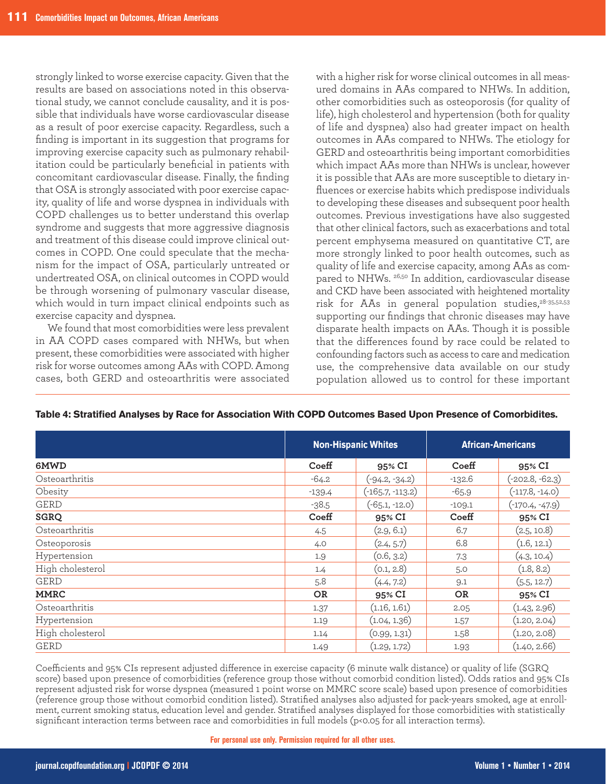strongly linked to worse exercise capacity. Given that the results are based on associations noted in this observational study, we cannot conclude causality, and it is possible that individuals have worse cardiovascular disease as a result of poor exercise capacity. Regardless, such a finding is important in its suggestion that programs for improving exercise capacity such as pulmonary rehabilitation could be particularly beneficial in patients with concomitant cardiovascular disease. Finally, the finding that OSA is strongly associated with poor exercise capacity, quality of life and worse dyspnea in individuals with COPD challenges us to better understand this overlap syndrome and suggests that more aggressive diagnosis and treatment of this disease could improve clinical outcomes in COPD. One could speculate that the mechanism for the impact of OSA, particularly untreated or undertreated OSA, on clinical outcomes in COPD would be through worsening of pulmonary vascular disease, which would in turn impact clinical endpoints such as exercise capacity and dyspnea.

We found that most comorbidities were less prevalent in AA COPD cases compared with NHWs, but when present, these comorbidities were associated with higher risk for worse outcomes among AAs with COPD. Among cases, both GERD and osteoarthritis were associated

with a higher risk for worse clinical outcomes in all measured domains in AAs compared to NHWs. In addition, other comorbidities such as osteoporosis (for quality of life), high cholesterol and hypertension (both for quality of life and dyspnea) also had greater impact on health outcomes in AAs compared to NHWs. The etiology for GERD and osteoarthritis being important comorbidities which impact AAs more than NHWs is unclear, however it is possible that AAs are more susceptible to dietary influences or exercise habits which predispose individuals to developing these diseases and subsequent poor health outcomes. Previous investigations have also suggested that other clinical factors, such as exacerbations and total percent emphysema measured on quantitative CT, are more strongly linked to poor health outcomes, such as quality of life and exercise capacity, among AAs as compared to NHWs. 26,50 In addition, cardiovascular disease and CKD have been associated with heightened mortality risk for AAs in general population studies,28-35,52,53 supporting our findings that chronic diseases may have disparate health impacts on AAs. Though it is possible that the differences found by race could be related to confounding factors such as access to care and medication use, the comprehensive data available on our study population allowed us to control for these important

|                  |           | <b>Non-Hispanic Whites</b> |           | <b>African-Americans</b> |  |
|------------------|-----------|----------------------------|-----------|--------------------------|--|
| 6MWD             | Coeff     | 95% CI                     | Coeff     | 95% CI                   |  |
| Osteoarthritis   | $-64.2$   | $(-94.2, -34.2)$           | $-132.6$  | $(-202.8, -62.3)$        |  |
| Obesity          | $-139.4$  | $(-165.7, -113.2)$         | $-65.9$   | $(-117.8, -14.0)$        |  |
| <b>GERD</b>      | $-38.5$   | $(-65.1, -12.0)$           | $-109.1$  | $(-170.4, -47.9)$        |  |
| <b>SGRQ</b>      | Coeff     | 95% CI                     | Coeff     | 95% CI                   |  |
| Osteoarthritis   | 4.5       | (2.9, 6.1)                 | 6.7       | (2.5, 10.8)              |  |
| Osteoporosis     | 4.0       | (2.4, 5.7)                 | 6.8       | (1.6, 12.1)              |  |
| Hypertension     | 1.9       | (0.6, 3.2)                 | 7.3       | (4.3, 10.4)              |  |
| High cholesterol | 1.4       | (0.1, 2.8)                 | 5.0       | (1.8, 8.2)               |  |
| <b>GERD</b>      | 5.8       | (4.4, 7.2)                 | 9.1       | (5.5, 12.7)              |  |
| <b>MMRC</b>      | <b>OR</b> | 95% CI                     | <b>OR</b> | 95% CI                   |  |
| Osteoarthritis   | 1.37      | (1.16, 1.61)               | 2.05      | (1.43, 2.96)             |  |
| Hypertension     | 1.19      | (1.04, 1.36)               | 1.57      | (1.20, 2.04)             |  |
| High cholesterol | 1.14      | (0.99, 1.31)               | 1.58      | (1.20, 2.08)             |  |
| <b>GERD</b>      | 1.49      | (1.29, 1.72)               | 1.93      | (1.40, 2.66)             |  |

#### **Table 4: Stratified Analyses by Race for Association With COPD Outcomes Based Upon Presence of Comorbidites.**

Coefficients and 95% CIs represent adjusted difference in exercise capacity (6 minute walk distance) or quality of life (SGRQ score) based upon presence of comorbidities (reference group those without comorbid condition listed). Odds ratios and 95% CIs represent adjusted risk for worse dyspnea (measured 1 point worse on MMRC score scale) based upon presence of comorbidities (reference group those without comorbid condition listed). Stratified analyses also adjusted for pack-years smoked, age at enrollment, current smoking status, education level and gender. Stratified analyses displayed for those comorbidities with statistically significant interaction terms between race and comorbidities in full models (p<0.05 for all interaction terms).

**For personal use only. Permission required for all other uses.**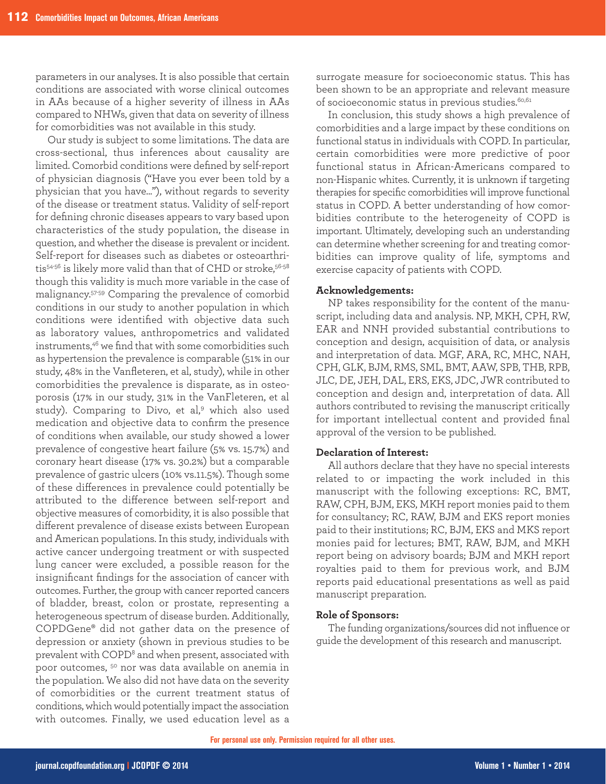parameters in our analyses. It is also possible that certain conditions are associated with worse clinical outcomes in AAs because of a higher severity of illness in AAs compared to NHWs, given that data on severity of illness for comorbidities was not available in this study.

Our study is subject to some limitations. The data are cross-sectional, thus inferences about causality are limited. Comorbid conditions were defined by self-report of physician diagnosis ("Have you ever been told by a physician that you have..."), without regards to severity of the disease or treatment status. Validity of self-report for defining chronic diseases appears to vary based upon characteristics of the study population, the disease in question, and whether the disease is prevalent or incident. Self-report for diseases such as diabetes or osteoarthritis<sup>54-56</sup> is likely more valid than that of CHD or stroke, 56-58 though this validity is much more variable in the case of malignancy.57-59 Comparing the prevalence of comorbid conditions in our study to another population in which conditions were identified with objective data such as laboratory values, anthropometrics and validated instruments,46 we find that with some comorbidities such as hypertension the prevalence is comparable (51% in our study, 48% in the Vanfleteren, et al, study), while in other comorbidities the prevalence is disparate, as in osteoporosis (17% in our study, 31% in the VanFleteren, et al study). Comparing to Divo, et al,<sup>9</sup> which also used medication and objective data to confirm the presence of conditions when available, our study showed a lower prevalence of congestive heart failure (5% vs. 15.7%) and coronary heart disease (17% vs. 30.2%) but a comparable prevalence of gastric ulcers (10% vs.11.5%). Though some of these differences in prevalence could potentially be attributed to the difference between self-report and objective measures of comorbidity, it is also possible that different prevalence of disease exists between European and American populations. In this study, individuals with active cancer undergoing treatment or with suspected lung cancer were excluded, a possible reason for the insignificant findings for the association of cancer with outcomes. Further, the group with cancer reported cancers of bladder, breast, colon or prostate, representing a heterogeneous spectrum of disease burden. Additionally, COPDGene® did not gather data on the presence of depression or anxiety (shown in previous studies to be prevalent with COPD8 and when present, associated with poor outcomes, 50 nor was data available on anemia in the population. We also did not have data on the severity of comorbidities or the current treatment status of conditions, which would potentially impact the association with outcomes. Finally, we used education level as a surrogate measure for socioeconomic status. This has been shown to be an appropriate and relevant measure of socioeconomic status in previous studies.<sup>60,61</sup>

In conclusion, this study shows a high prevalence of comorbidities and a large impact by these conditions on functional status in individuals with COPD. In particular, certain comorbidities were more predictive of poor functional status in African-Americans compared to non-Hispanic whites. Currently, it is unknown if targeting therapies for specific comorbidities will improve functional status in COPD. A better understanding of how comorbidities contribute to the heterogeneity of COPD is important. Ultimately, developing such an understanding can determine whether screening for and treating comorbidities can improve quality of life, symptoms and exercise capacity of patients with COPD.

### **Acknowledgements:**

NP takes responsibility for the content of the manuscript, including data and analysis. NP, MKH, CPH, RW, EAR and NNH provided substantial contributions to conception and design, acquisition of data, or analysis and interpretation of data. MGF, ARA, RC, MHC, NAH, CPH, GLK, BJM, RMS, SML, BMT, AAW, SPB, THB, RPB, JLC, DE, JEH, DAL, ERS, EKS, JDC, JWR contributed to conception and design and, interpretation of data. All authors contributed to revising the manuscript critically for important intellectual content and provided final approval of the version to be published.

### **Declaration of Interest:**

All authors declare that they have no special interests related to or impacting the work included in this manuscript with the following exceptions: RC, BMT, RAW, CPH, BJM, EKS, MKH report monies paid to them for consultancy; RC, RAW, BJM and EKS report monies paid to their institutions; RC, BJM, EKS and MKS report monies paid for lectures; BMT, RAW, BJM, and MKH report being on advisory boards; BJM and MKH report royalties paid to them for previous work, and BJM reports paid educational presentations as well as paid manuscript preparation.

### **Role of Sponsors:**

The funding organizations/sources did not influence or guide the development of this research and manuscript.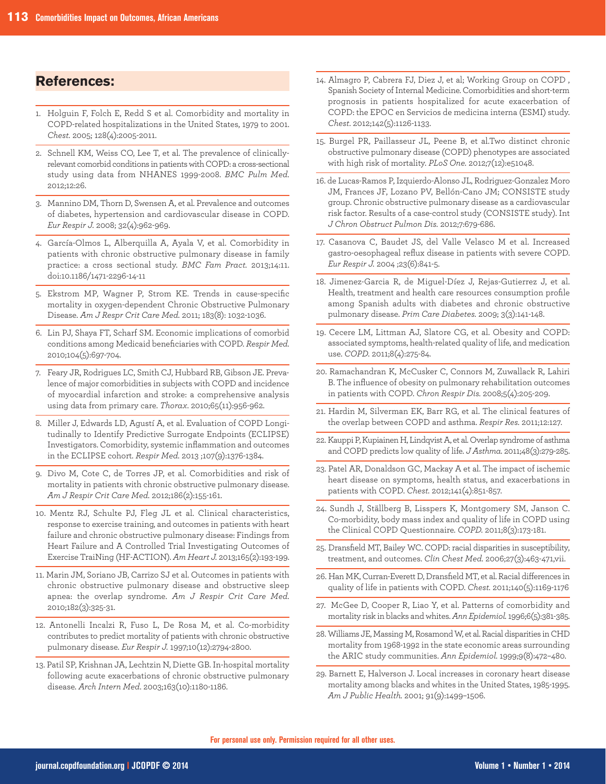### **References:**

- 1. Holguin F, Folch E, Redd S et al. Comorbidity and mortality in COPD-related hospitalizations in the United States, 1979 to 2001. *Chest.* 2005; 128(4):2005-2011.
- 2. Schnell KM, Weiss CO, Lee T, et al. The prevalence of clinicallyrelevant comorbid conditions in patients with COPD: a cross-sectional study using data from NHANES 1999-2008. *BMC Pulm Med.* 2012;12:26.
- 3. Mannino DM, Thorn D, Swensen A, et al. Prevalence and outcomes of diabetes, hypertension and cardiovascular disease in COPD. *Eur Respir J.* 2008; 32(4):962-969.
- 4. García-Olmos L, Alberquilla A, Ayala V, et al. Comorbidity in patients with chronic obstructive pulmonary disease in family practice: a cross sectional study. *BMC Fam Pract.* 2013;14:11. doi:10.1186/1471-2296-14-11
- 5. Ekstrom MP, Wagner P, Strom KE. Trends in cause-specific mortality in oxygen-dependent Chronic Obstructive Pulmonary Disease. *Am J Respr Crit Care Med.* 2011; 183(8): 1032-1036.
- 6. Lin PJ, Shaya FT, Scharf SM. Economic implications of comorbid conditions among Medicaid beneficiaries with COPD. *Respir Med.* 2010;104(5):697-704.
- 7. Feary JR, Rodrigues LC, Smith CJ, Hubbard RB, Gibson JE. Prevalence of major comorbidities in subjects with COPD and incidence of myocardial infarction and stroke: a comprehensive analysis using data from primary care. *Thorax*. 2010;65(11):956-962.
- 8. Miller J, Edwards LD, Agustí A, et al. Evaluation of COPD Longitudinally to Identify Predictive Surrogate Endpoints (ECLIPSE) Investigators. Comorbidity, systemic inflammation and outcomes in the ECLIPSE cohort. *Respir Med.* 2013 ;107(9):1376-1384.
- 9. Divo M, Cote C, de Torres JP, et al. Comorbidities and risk of mortality in patients with chronic obstructive pulmonary disease. *Am J Respir Crit Care Med.* 2012;186(2):155-161.
- 10. Mentz RJ, Schulte PJ, Fleg JL et al. Clinical characteristics, response to exercise training, and outcomes in patients with heart failure and chronic obstructive pulmonary disease: Findings from Heart Failure and A Controlled Trial Investigating Outcomes of Exercise TraiNing (HF-ACTION). *Am Heart J.* 2013;165(2):193-199.
- 11. Marin JM, Soriano JB, Carrizo SJ et al. Outcomes in patients with chronic obstructive pulmonary disease and obstructive sleep apnea: the overlap syndrome. *Am J Respir Crit Care Med.* 2010;182(3):325-31.
- 12. Antonelli Incalzi R, Fuso L, De Rosa M, et al. Co-morbidity contributes to predict mortality of patients with chronic obstructive pulmonary disease. *Eur Respir J.* 1997;10(12):2794-2800.
- 13. Patil SP, Krishnan JA, Lechtzin N, Diette GB. In-hospital mortality following acute exacerbations of chronic obstructive pulmonary disease. *Arch Intern Med*. 2003;163(10):1180-1186.
- 14. Almagro P, Cabrera FJ, Diez J, et al; Working Group on COPD , Spanish Society of Internal Medicine. Comorbidities and short-term prognosis in patients hospitalized for acute exacerbation of COPD: the EPOC en Servicios de medicina interna (ESMI) study. *Chest*. 2012;142(5):1126-1133.
- 15. Burgel PR, Paillasseur JL, Peene B, et al.Two distinct chronic obstructive pulmonary disease (COPD) phenotypes are associated with high risk of mortality. *PLoS One.* 2012;7(12):e51048.
- 16. de Lucas-Ramos P, Izquierdo-Alonso JL, Rodriguez-Gonzalez Moro JM, Frances JF, Lozano PV, Bellón-Cano JM; CONSISTE study group. Chronic obstructive pulmonary disease as a cardiovascular risk factor. Results of a case-control study (CONSISTE study). Int *J Chron Obstruct Pulmon Dis.* 2012;7:679-686.
- 17. Casanova C, Baudet JS, del Valle Velasco M et al. Increased gastro-oesophageal reflux disease in patients with severe COPD. *Eur Respir J.* 2004 ;23(6):841-5.
- 18. Jimenez-Garcia R, de Miguel-Díez J, Rejas-Gutierrez J, et al. Health, treatment and health care resources consumption profile among Spanish adults with diabetes and chronic obstructive pulmonary disease. *Prim Care Diabetes.* 2009; 3(3):141-148.
- 19. Cecere LM, Littman AJ, Slatore CG, et al. Obesity and COPD: associated symptoms, health-related quality of life, and medication use. *COPD.* 2011;8(4):275-84.
- 20. Ramachandran K, McCusker C, Connors M, Zuwallack R, Lahiri B. The influence of obesity on pulmonary rehabilitation outcomes in patients with COPD. *Chron Respir Dis.* 2008;5(4):205-209.
- 21. Hardin M, Silverman EK, Barr RG, et al. The clinical features of the overlap between COPD and asthma. *Respir Res.* 2011;12:127.
- 22. Kauppi P, Kupiainen H, Lindqvist A, et al. Overlap syndrome of asthma and COPD predicts low quality of life. *J Asthma.* 2011;48(3):279-285.
- 23. Patel AR, Donaldson GC, Mackay A et al. The impact of ischemic heart disease on symptoms, health status, and exacerbations in patients with COPD. *Chest.* 2012;141(4):851-857.
- 24. Sundh J, Ställberg B, Lisspers K, Montgomery SM, Janson C. Co-morbidity, body mass index and quality of life in COPD using the Clinical COPD Questionnaire. *COPD.* 2011;8(3):173-181.
- 25. Dransfield MT, Bailey WC. COPD: racial disparities in susceptibility, treatment, and outcomes. *Clin Chest Med.* 2006;27(3):463-471,vii.
- 26. Han MK, Curran-Everett D, Dransfield MT, et al. Racial differences in quality of life in patients with COPD. *Chest.* 2011;140(5):1169-1176
- 27. McGee D, Cooper R, Liao Y, et al. Patterns of comorbidity and mortality risk in blacks and whites. *Ann Epidemiol.*1996;6(5):381-385.
- 28. Williams JE, Massing M, Rosamond W, et al. Racial disparities in CHD mortality from 1968-1992 in the state economic areas surrounding the ARIC study communities. *Ann Epidemiol.* 1999;9(8):472–480.
- 29. Barnett E, Halverson J. Local increases in coronary heart disease mortality among blacks and whites in the United States, 1985-1995. *Am J Public Health.* 2001; 91(9):1499–1506.